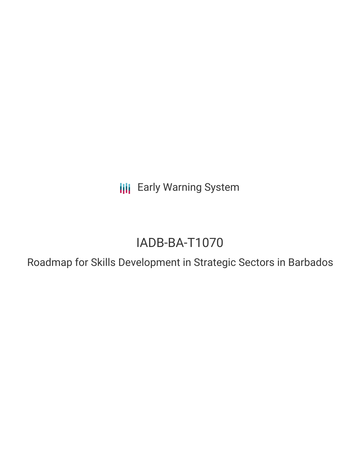**III** Early Warning System

# IADB-BA-T1070

Roadmap for Skills Development in Strategic Sectors in Barbados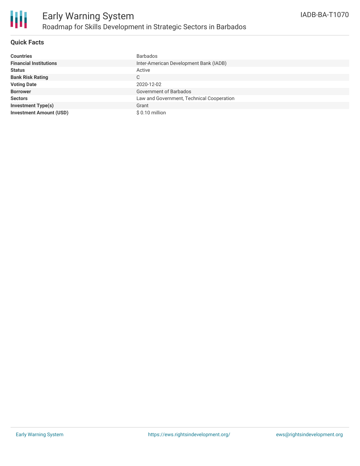

### **Quick Facts**

| <b>Countries</b>               | <b>Barbados</b>                           |
|--------------------------------|-------------------------------------------|
| <b>Financial Institutions</b>  | Inter-American Development Bank (IADB)    |
| <b>Status</b>                  | Active                                    |
| <b>Bank Risk Rating</b>        | C                                         |
| <b>Voting Date</b>             | 2020-12-02                                |
| <b>Borrower</b>                | Government of Barbados                    |
| <b>Sectors</b>                 | Law and Government, Technical Cooperation |
| <b>Investment Type(s)</b>      | Grant                                     |
| <b>Investment Amount (USD)</b> | $$0.10$ million                           |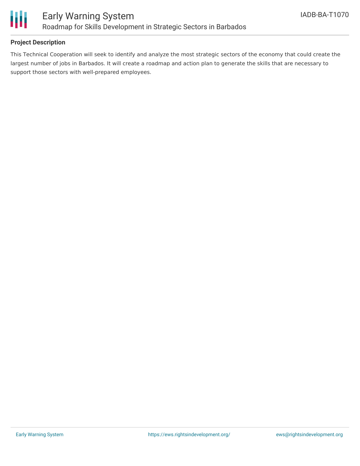

### **Project Description**

This Technical Cooperation will seek to identify and analyze the most strategic sectors of the economy that could create the largest number of jobs in Barbados. It will create a roadmap and action plan to generate the skills that are necessary to support those sectors with well-prepared employees.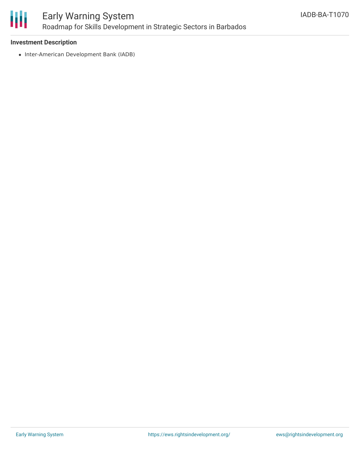

# Early Warning System Roadmap for Skills Development in Strategic Sectors in Barbados

### **Investment Description**

• Inter-American Development Bank (IADB)